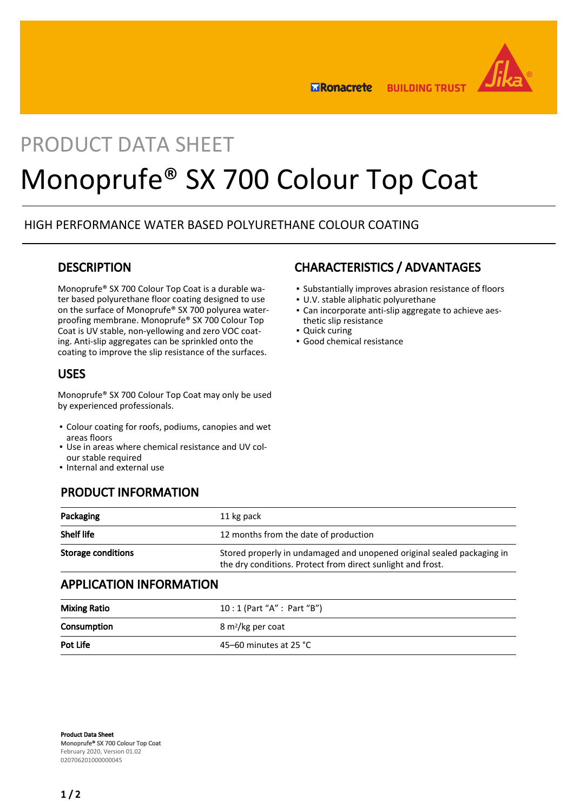

**BUILDING TRUST ERonacrete** 

## PRODUCT DATA SHEET

# Monoprufe® SX 700 Colour Top Coat

#### HIGH PERFORMANCE WATER BASED POLYURETHANE COLOUR COATING

#### **DESCRIPTION**

Monoprufe® SX 700 Colour Top Coat is a durable water based polyurethane floor coating designed to use on the surface of Monoprufe® SX 700 polyurea waterproofing membrane. Monoprufe® SX 700 Colour Top Coat is UV stable, non-yellowing and zero VOC coating. Anti-slip aggregates can be sprinkled onto the coating to improve the slip resistance of the surfaces.

#### USES

Monoprufe® SX 700 Colour Top Coat may only be used by experienced professionals.

- Colour coating for roofs, podiums, canopies and wet areas floors
- Use in areas where chemical resistance and UV col-▪ our stable required
- Internal and external use

### PRODUCT INFORMATION

| Packaging                 | 11 kg pack                                                                                                                            |
|---------------------------|---------------------------------------------------------------------------------------------------------------------------------------|
| <b>Shelf life</b>         | 12 months from the date of production                                                                                                 |
| <b>Storage conditions</b> | Stored properly in undamaged and unopened original sealed packaging in<br>the dry conditions. Protect from direct sunlight and frost. |

#### APPLICATION INFORMATION

| <b>Mixing Ratio</b> | 10 : 1 (Part "A" : Part "B")  |
|---------------------|-------------------------------|
| Consumption         | 8 m <sup>2</sup> /kg per coat |
| Pot Life            | 45–60 minutes at 25 °C        |

## CHARACTERISTICS / ADVANTAGES

- Substantially improves abrasion resistance of floors
- U.V. stable aliphatic polyurethane
- Can incorporate anti-slip aggregate to achieve aes-▪ thetic slip resistance
- Quick curing
- Good chemical resistance